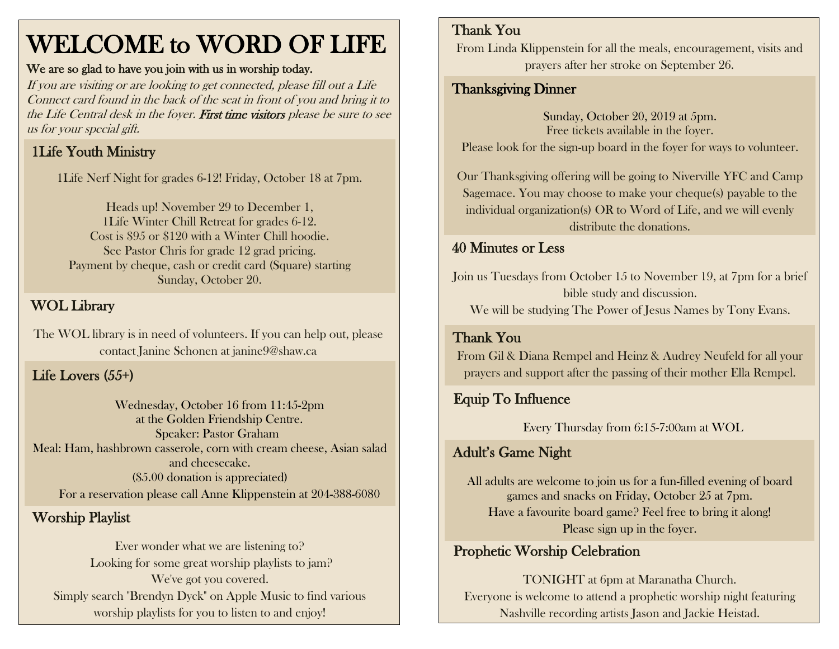# WELCOME to WORD OF LIFE

#### We are so glad to have you join with us in worship today.

If you are visiting or are looking to get connected, please fill out a Life Connect card found in the back of the seat in front of you and bring it to the Life Central desk in the foyer. First time visitors please be sure to see us for your special gift.

## 1Life Youth Ministry

1Life Nerf Night for grades 6-12! Friday, October 18 at 7pm.

Heads up! November 29 to December 1, 1Life Winter Chill Retreat for grades 6-12. Cost is \$95 or \$120 with a Winter Chill hoodie. See Pastor Chris for grade 12 grad pricing. Payment by cheque, cash or credit card (Square) starting Sunday, October 20.

#### WOL Library

The WOL library is in need of volunteers. If you can help out, please contact Janine Schonen at janine9@shaw.ca

#### Life Lovers (55+)

Wednesday, October 16 from 11:45-2pm at the Golden Friendship Centre. Speaker: Pastor Graham Meal: Ham, hashbrown casserole, corn with cream cheese, Asian salad and cheesecake. (\$5.00 donation is appreciated) For a reservation please call Anne Klippenstein at 204-388-6080

#### Worship Playlist

Ever wonder what we are listening to? Looking for some great worship playlists to jam? We've got you covered. Simply search "Brendyn Dyck" on Apple Music to find various worship playlists for you to listen to and enjoy!

#### Thank You

From Linda Klippenstein for all the meals, encouragement, visits and prayers after her stroke on September 26.

#### Thanksgiving Dinner

Sunday, October 20, 2019 at 5pm. Free tickets available in the foyer. Please look for the sign-up board in the foyer for ways to volunteer.

Our Thanksgiving offering will be going to Niverville YFC and Camp Sagemace. You may choose to make your cheque(s) payable to the individual organization(s) OR to Word of Life, and we will evenly distribute the donations.

#### 40 Minutes or Less

Join us Tuesdays from October 15 to November 19, at 7pm for a brief bible study and discussion.

We will be studying The Power of Jesus Names by Tony Evans.

#### Thank You

From Gil & Diana Rempel and Heinz & Audrey Neufeld for all your prayers and support after the passing of their mother Ella Rempel.

#### Equip To Influence

Every Thursday from 6:15-7:00am at WOL

#### Adult's Game Night

All adults are welcome to join us for a fun-filled evening of board games and snacks on Friday, October 25 at 7pm. Have a favourite board game? Feel free to bring it along! Please sign up in the foyer.

#### Prophetic Worship Celebration

TONIGHT at 6pm at Maranatha Church. Everyone is welcome to attend a prophetic worship night featuring Nashville recording artists Jason and Jackie Heistad.